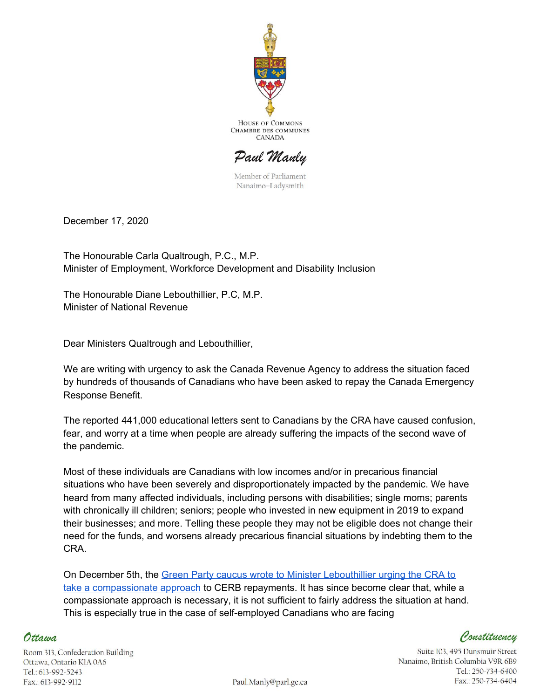

**HOUSE OF COMMONS CHAMBRE DES COMMUNES** CANADA

Paul Manly

Member of Parliament Nanaimo-Ladysmith

December 17, 2020

The Honourable Carla Qualtrough, P.C., M.P. Minister of Employment, Workforce Development and Disability Inclusion

The Honourable Diane Lebouthillier, P.C, M.P. Minister of National Revenue

Dear Ministers Qualtrough and Lebouthillier,

We are writing with urgency to ask the Canada Revenue Agency to address the situation faced by hundreds of thousands of Canadians who have been asked to repay the Canada Emergency Response Benefit.

The reported 441,000 educational letters sent to Canadians by the CRA have caused confusion, fear, and worry at a time when people are already suffering the impacts of the second wave of the pandemic.

Most of these individuals are Canadians with low incomes and/or in precarious financial situations who have been severely and disproportionately impacted by the pandemic. We have heard from many affected individuals, including persons with disabilities; single moms; parents with chronically ill children; seniors; people who invested in new equipment in 2019 to expand their businesses; and more. Telling these people they may not be eligible does not change their need for the funds, and worsens already precarious financial situations by indebting them to the CRA.

On December 5th, the Green Party caucus wrote to Minister [Lebouthillier](https://www.greenparty.ca/sites/default/files/attachments/dec_5_-_a_compassionate_approach_for_canadians_in_crisis.pdf) urging the CRA to take a [compassionate](https://www.greenparty.ca/sites/default/files/attachments/dec_5_-_a_compassionate_approach_for_canadians_in_crisis.pdf) approach to CERB repayments. It has since become clear that, while a compassionate approach is necessary, it is not sufficient to fairly address the situation at hand. This is especially true in the case of self-employed Canadians who are facing

Constituency

Suite 103, 495 Dunsmuir Street Nanaimo, British Columbia V9R 6B9 Tel.: 250-734-6400 Fax.: 250-734-6404

Room 313, Confederation Building Ottawa, Ontario KIA 0A6 Tel.: 613-992-5243 Fax: 613-992-9112

Ottawa

Paul.Manly@parl.gc.ca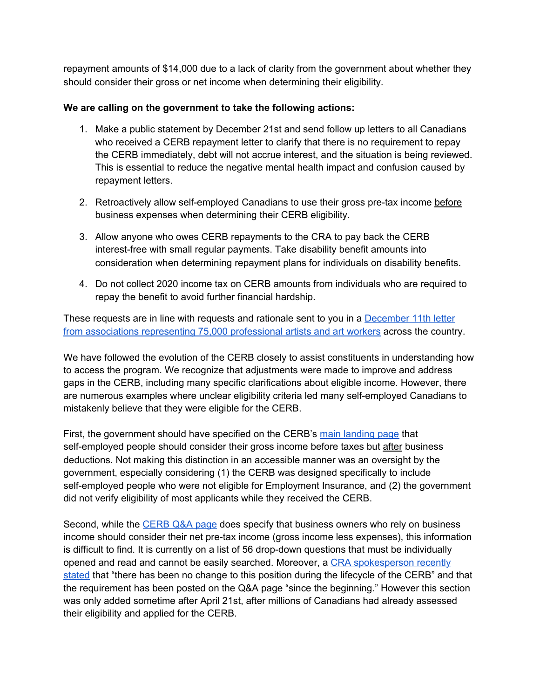repayment amounts of \$14,000 due to a lack of clarity from the government about whether they should consider their gross or net income when determining their eligibility.

## **We are calling on the government to take the following actions:**

- 1. Make a public statement by December 21st and send follow up letters to all Canadians who received a CERB repayment letter to clarify that there is no requirement to repay the CERB immediately, debt will not accrue interest, and the situation is being reviewed. This is essential to reduce the negative mental health impact and confusion caused by repayment letters.
- 2. Retroactively allow self-employed Canadians to use their gross pre-tax income before business expenses when determining their CERB eligibility.
- 3. Allow anyone who owes CERB repayments to the CRA to pay back the CERB interest-free with small regular payments. Take disability benefit amounts into consideration when determining repayment plans for individuals on disability benefits.
- 4. Do not collect 2020 income tax on CERB amounts from individuals who are required to repay the benefit to avoid further financial hardship.

These requests are in line with requests and rationale sent to you in a [December](https://www.caea.com/Portals/0/Documents/News/2020/2020-12-11-Letter-to-Ministers-From-Arts-and-Culture-Worker-Associations.pdf?fbclid=IwAR3Gr7MH4htxAx5-5ILRXNSSMgqJPhNdcVuBfOwXBF2WXJ30DXIzFM3yDwI) 11th letter from associations [representing](https://www.caea.com/Portals/0/Documents/News/2020/2020-12-11-Letter-to-Ministers-From-Arts-and-Culture-Worker-Associations.pdf?fbclid=IwAR3Gr7MH4htxAx5-5ILRXNSSMgqJPhNdcVuBfOwXBF2WXJ30DXIzFM3yDwI) 75,000 professional artists and art workers across the country.

We have followed the evolution of the CERB closely to assist constituents in understanding how to access the program. We recognize that adjustments were made to improve and address gaps in the CERB, including many specific clarifications about eligible income. However, there are numerous examples where unclear eligibility criteria led many self-employed Canadians to mistakenly believe that they were eligible for the CERB.

First, the government should have specified on the CERB's main [landing](https://www.canada.ca/en/services/benefits/ei/cerb-application.html#eligible) page that self-employed people should consider their gross income before taxes but after business deductions. Not making this distinction in an accessible manner was an oversight by the government, especially considering (1) the CERB was designed specifically to include self-employed people who were not eligible for Employment Insurance, and (2) the government did not verify eligibility of most applicants while they received the CERB.

Second, while the [CERB](https://www.canada.ca/en/services/benefits/ei/cerb-application/questions.html) Q&A page does specify that business owners who rely on business income should consider their net pre-tax income (gross income less expenses), this information is difficult to find. It is currently on a list of 56 drop-down questions that must be individually opened and read and cannot be easily searched. Moreover, a CRA [spokesperson](https://www.cbc.ca/news/canada/prince-edward-island/pei-cerb-benefits-payback-1.5838395) recently [stated](https://www.cbc.ca/news/canada/prince-edward-island/pei-cerb-benefits-payback-1.5838395) that "there has been no change to this position during the lifecycle of the CERB" and that the requirement has been posted on the Q&A page "since the beginning." However this section was only added sometime after April 21st, after millions of Canadians had already assessed their eligibility and applied for the CERB.